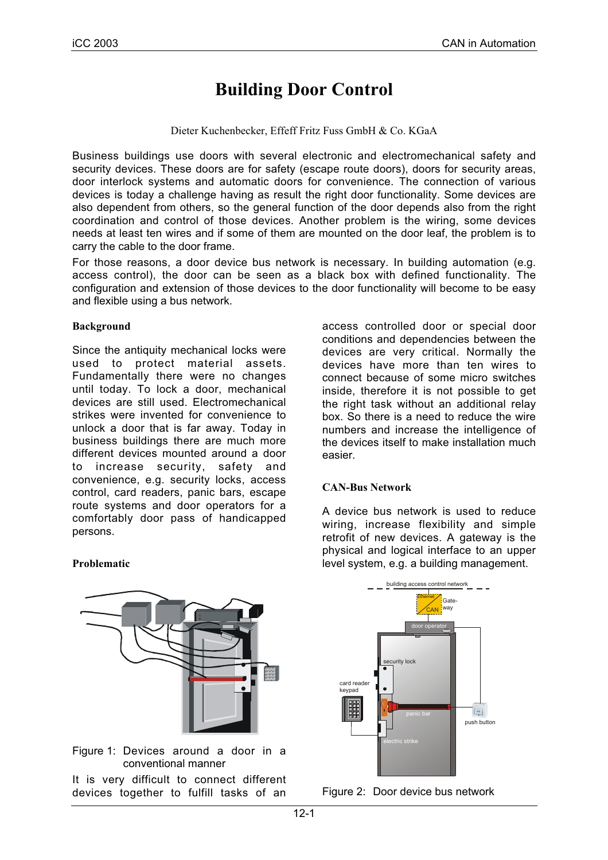# **Building Door Control**

Dieter Kuchenbecker, Effeff Fritz Fuss GmbH & Co. KGaA

Business buildings use doors with several electronic and electromechanical safety and security devices. These doors are for safety (escape route doors), doors for security areas, door interlock systems and automatic doors for convenience. The connection of various devices is today a challenge having as result the right door functionality. Some devices are also dependent from others, so the general function of the door depends also from the right coordination and control of those devices. Another problem is the wiring, some devices needs at least ten wires and if some of them are mounted on the door leaf, the problem is to carry the cable to the door frame.

For those reasons, a door device bus network is necessary. In building automation (e.g. access control), the door can be seen as a black box with defined functionality. The configuration and extension of those devices to the door functionality will become to be easy and flexible using a bus network.

#### **Background**

**Problematic**

Since the antiquity mechanical locks were used to protect material assets. Fundamentally there were no changes until today. To lock a door, mechanical devices are still used. Electromechanical strikes were invented for convenience to unlock a door that is far away. Today in business buildings there are much more different devices mounted around a door to increase security, safety and convenience, e.g. security locks, access control, card readers, panic bars, escape route systems and door operators for a comfortably door pass of handicapped persons.

access controlled door or special door conditions and dependencies between the devices are very critical. Normally the devices have more than ten wires to connect because of some micro switches inside, therefore it is not possible to get the right task without an additional relay box. So there is a need to reduce the wire numbers and increase the intelligence of the devices itself to make installation much easier.

#### **CAN-Bus Network**

A device bus network is used to reduce wiring, increase flexibility and simple retrofit of new devices. A gateway is the physical and logical interface to an upper level system, e.g. a building management.

Figure 1: Devices around a door in a conventional manner

It is very difficult to connect different devices together to fulfill tasks of an



Figure 2: Door device bus network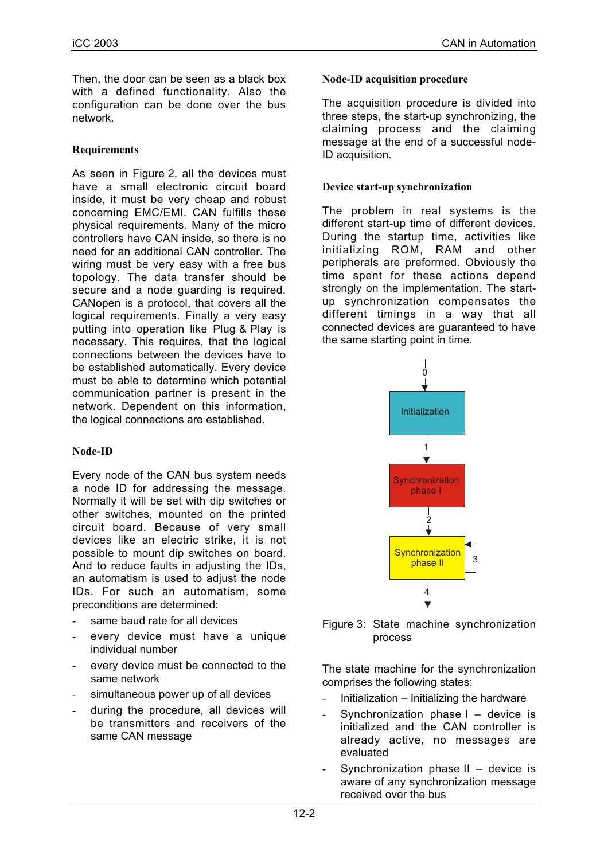Then, the door can be seen as a black box with a defined functionality. Also the configuration can be done over the bus network.

## **Requirements**

As seen in Figure 2, all the devices must have a small electronic circuit board inside, it must be very cheap and robust concerning EMC/EMI. CAN fulfills these physical requirements. Many of the micro controllers have CAN inside, so there is no need for an additional CAN controller. The wiring must be very easy with a free bus topology. The data transfer should be secure and a node guarding is required. CANopen is a protocol, that covers all the logical requirements. Finally a very easy putting into operation like Plug & Play is necessary. This requires, that the logical connections between the devices have to be established automatically. Every device must be able to determine which potential communication partner is present in the network. Dependent on this information, the logical connections are established.

#### **Node-ID**

Every node of the CAN bus system needs a node ID for addressing the message. Normally it will be set with dip switches or other switches, mounted on the printed circuit board. Because of very small devices like an electric strike, it is not possible to mount dip switches on board. And to reduce faults in adjusting the IDs, an automatism is used to adjust the node IDs. For such an automatism, some preconditions are determined:

- same baud rate for all devices
- every device must have a unique individual number
- every device must be connected to the same network
- simultaneous power up of all devices
- during the procedure, all devices will be transmitters and receivers of the same CAN message

#### **Node-ID acquisition procedure**

The acquisition procedure is divided into three steps, the start-up synchronizing, the claiming process and the claiming message at the end of a successful node-ID acquisition.

#### **Device start-up synchronization**

The problem in real systems is the different start-up time of different devices. During the startup time, activities like initializing ROM, RAM and other peripherals are preformed. Obviously the time spent for these actions depend strongly on the implementation. The startup synchronization compensates the different timings in a way that all connected devices are guaranteed to have the same starting point in time.



Figure 3: State machine synchronization process

The state machine for the synchronization comprises the following states:

- Initialization  $-$  Initializing the hardware
- Synchronization phase  $I -$  device is initialized and the CAN controller is already active, no messages are evaluated
- Synchronization phase  $II -$  device is aware of any synchronization message received over the bus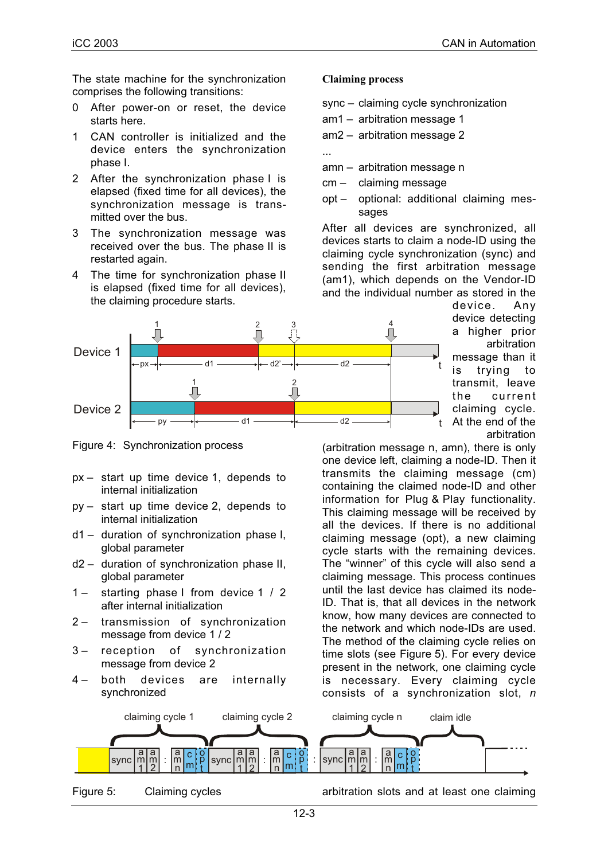The state machine for the synchronization comprises the following transitions:

- 0 After power-on or reset, the device starts here.
- 1 CAN controller is initialized and the device enters the synchronization phase I.
- 2 After the synchronization phase I is elapsed (fixed time for all devices), the synchronization message is transmitted over the bus.
- 3 The synchronization message was received over the bus. The phase II is restarted again.
- 4 The time for synchronization phase II is elapsed (fixed time for all devices), the claiming procedure starts.

#### Device 1 Device 2 py d1 d1  $\longrightarrow$  d2  $\longrightarrow$  t d2' $\rightarrow$   $\leftarrow$  d2  $\rightarrow$  t  $\frac{1}{2}$  2  $\frac{1}{\sqrt{2}}$  $\tilde{\Pi}$  $\int_{1}^{2}$ 4  $px \rightarrow$

Figure 4: Synchronization process

- px start up time device 1, depends to internal initialization
- py start up time device 2, depends to internal initialization
- d1 duration of synchronization phase I, global parameter
- d2 duration of synchronization phase II, global parameter
- 1 starting phase I from device 1 / 2 after internal initialization
- 2 transmission of synchronization message from device 1 / 2
- 3 reception of synchronization message from device 2
- 4 both devices are internally synchronized

#### **Claiming process**

- sync claiming cycle synchronization
- am1 arbitration message 1
- am2 arbitration message 2

...

- amn arbitration message n
- cm claiming message
- opt optional: additional claiming messages

After all devices are synchronized, all devices starts to claim a node-ID using the claiming cycle synchronization (sync) and sending the first arbitration message (am1), which depends on the Vendor-ID and the individual number as stored in the

> device. Any device detecting a higher prior arbitration message than it is trying to transmit, leave the current claiming cycle. At the end of the arbitration

(arbitration message n, amn), there is only one device left, claiming a node-ID. Then it transmits the claiming message (cm) containing the claimed node-ID and other information for Plug & Play functionality. This claiming message will be received by all the devices. If there is no additional claiming message (opt), a new claiming cycle starts with the remaining devices. The "winner" of this cycle will also send a claiming message. This process continues until the last device has claimed its node-ID. That is, that all devices in the network know, how many devices are connected to the network and which node-IDs are used. The method of the claiming cycle relies on time slots (see Figure 5). For every device present in the network, one claiming cycle is necessary. Every claiming cycle consists of a synchronization slot, *n*



Figure 5: Claiming cycles

arbitration slots and at least one claiming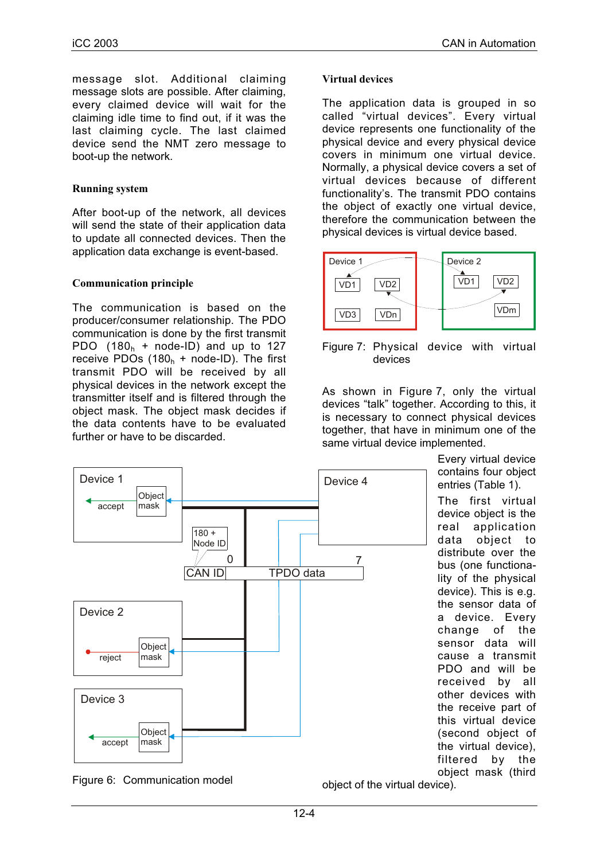message slot. Additional claiming message slots are possible. After claiming, every claimed device will wait for the claiming idle time to find out, if it was the last claiming cycle. The last claimed device send the NMT zero message to boot-up the network.

## **Running system**

After boot-up of the network, all devices will send the state of their application data to update all connected devices. Then the application data exchange is event-based.

#### **Communication principle**

The communication is based on the producer/consumer relationship. The PDO communication is done by the first transmit PDO  $(180<sub>h</sub> + node-ID)$  and up to 127 receive PDOs  $(180<sub>h</sub> + node-ID)$ . The first transmit PDO will be received by all physical devices in the network except the transmitter itself and is filtered through the object mask. The object mask decides if the data contents have to be evaluated further or have to be discarded.

#### **Virtual devices**

The application data is grouped in so called "virtual devices". Every virtual device represents one functionality of the physical device and every physical device covers in minimum one virtual device. Normally, a physical device covers a set of virtual devices because of different functionality's. The transmit PDO contains the object of exactly one virtual device, therefore the communication between the physical devices is virtual device based.



Figure 7: Physical device with virtual devices

As shown in Figure 7, only the virtual devices "talk" together. According to this, it is necessary to connect physical devices together, that have in minimum one of the same virtual device implemented.





object of the virtual device).